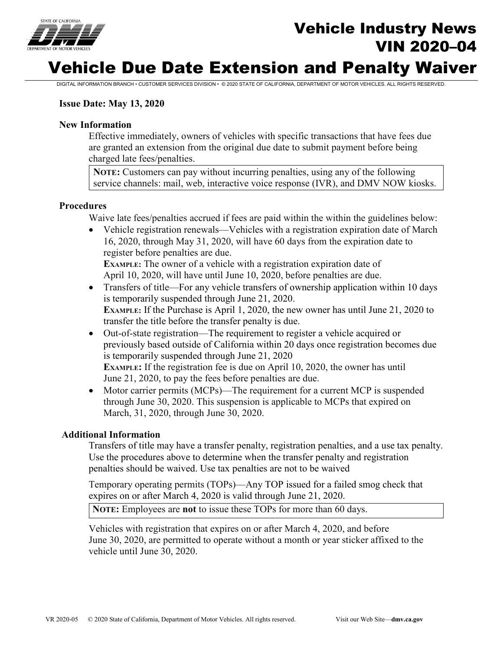

# Vehicle Industry News VIN 2020–04

# Vehicle Due Date Extension and Penalty Waiver

DIGITAL INFORMATION BRANCH • CUSTOMER SERVICES DIVISION • © 2020 STATE OF CALIFORNIA, DEPARTMENT OF MOTOR VEHICLES. ALL RIGHTS RESERVED.

# **Issue Date: May 13, 2020**

### **New Information**

Effective immediately, owners of vehicles with specific transactions that have fees due are granted an extension from the original due date to submit payment before being charged late fees/penalties.

**NOTE:** Customers can pay without incurring penalties, using any of the following service channels: mail, web, interactive voice response (IVR), and DMV NOW kiosks.

#### **Procedures**

Waive late fees/penalties accrued if fees are paid within the within the guidelines below:

• Vehicle registration renewals—Vehicles with a registration expiration date of March 16, 2020, through May 31, 2020, will have 60 days from the expiration date to register before penalties are due. **EXAMPLE:** The owner of a vehicle with a registration expiration date of

April 10, 2020, will have until June 10, 2020, before penalties are due.

- Transfers of title—For any vehicle transfers of ownership application within 10 days is temporarily suspended through June 21, 2020. **EXAMPLE:** If the Purchase is April 1, 2020, the new owner has until June 21, 2020 to transfer the title before the transfer penalty is due.
- Out-of-state registration—The requirement to register a vehicle acquired or previously based outside of California within 20 days once registration becomes due is temporarily suspended through June 21, 2020 **EXAMPLE:** If the registration fee is due on April 10, 2020, the owner has until June 21, 2020, to pay the fees before penalties are due.
- Motor carrier permits (MCPs)—The requirement for a current MCP is suspended through June 30, 2020. This suspension is applicable to MCPs that expired on March, 31, 2020, through June 30, 2020.

### **Additional Information**

Transfers of title may have a transfer penalty, registration penalties, and a use tax penalty. Use the procedures above to determine when the transfer penalty and registration penalties should be waived. Use tax penalties are not to be waived

Temporary operating permits (TOPs)—Any TOP issued for a failed smog check that expires on or after March 4, 2020 is valid through June 21, 2020.

**NOTE:** Employees are **not** to issue these TOPs for more than 60 days.

Vehicles with registration that expires on or after March 4, 2020, and before June 30, 2020, are permitted to operate without a month or year sticker affixed to the vehicle until June 30, 2020.